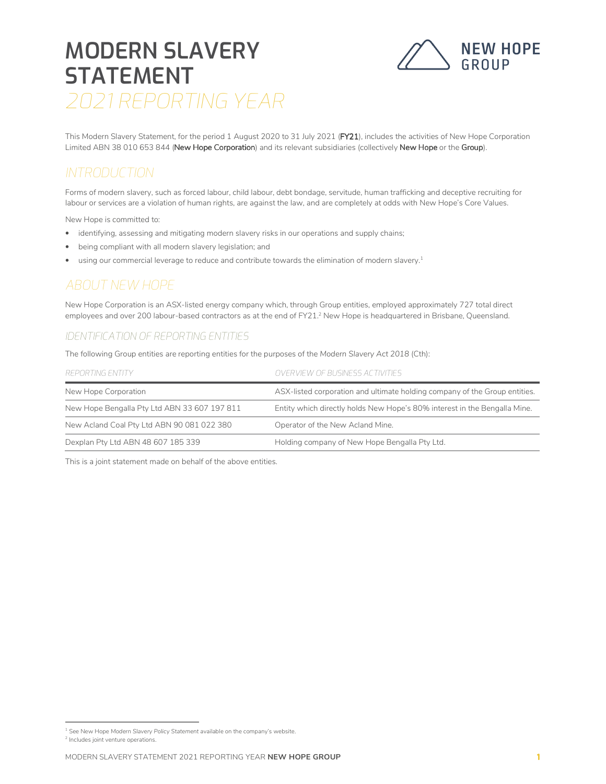# MODERN SLAVERY **STATEMENT** 2021 REPORTING YEAR



This Modern Slavery Statement, for the period 1 August 2020 to 31 July 2021 (FY21), includes the activities of New Hope Corporation Limited ABN 38 010 653 844 (New Hope Corporation) and its relevant subsidiaries (collectively New Hope or the Group).

### **INTRODUCTION**

Forms of modern slavery, such as forced labour, child labour, debt bondage, servitude, human trafficking and deceptive recruiting for labour or services are a violation of human rights, are against the law, and are completely at odds with New Hope's Core Values.

New Hope is committed to:

- identifying, assessing and mitigating modern slavery risks in our operations and supply chains;
- being compliant with all modern slavery legislation; and
- using our commercial leverage to reduce and contribute towards the elimination of modern slavery.<sup>1</sup>

### ABOUT NEW HOPE

New Hope Corporation is an ASX-listed energy company which, through Group entities, employed approximately 727 total direct employees and over 200 labour-based contractors as at the end of FY21.<sup>2</sup> New Hope is headquartered in Brisbane, Queensland.

#### IDENTIFICATION OF REPORTING ENTITIES

The following Group entities are reporting entities for the purposes of the Modern Slavery Act 2018 (Cth):

| REPORTING ENTITY                             | <i>OVERVIEW OF BUSINESS ACTIVITIES</i>                                     |
|----------------------------------------------|----------------------------------------------------------------------------|
| New Hope Corporation                         | ASX-listed corporation and ultimate holding company of the Group entities. |
| New Hope Bengalla Pty Ltd ABN 33 607 197 811 | Entity which directly holds New Hope's 80% interest in the Bengalla Mine.  |
| New Acland Coal Pty Ltd ABN 90 081 022 380   | Operator of the New Acland Mine.                                           |
| Dexplan Pty Ltd ABN 48 607 185 339           | Holding company of New Hope Bengalla Pty Ltd.                              |

This is a joint statement made on behalf of the above entities.

<sup>&</sup>lt;sup>1</sup> See New Hope Modern Slavery Policy Statement available on the company's website.

<sup>2</sup> Includes joint venture operations.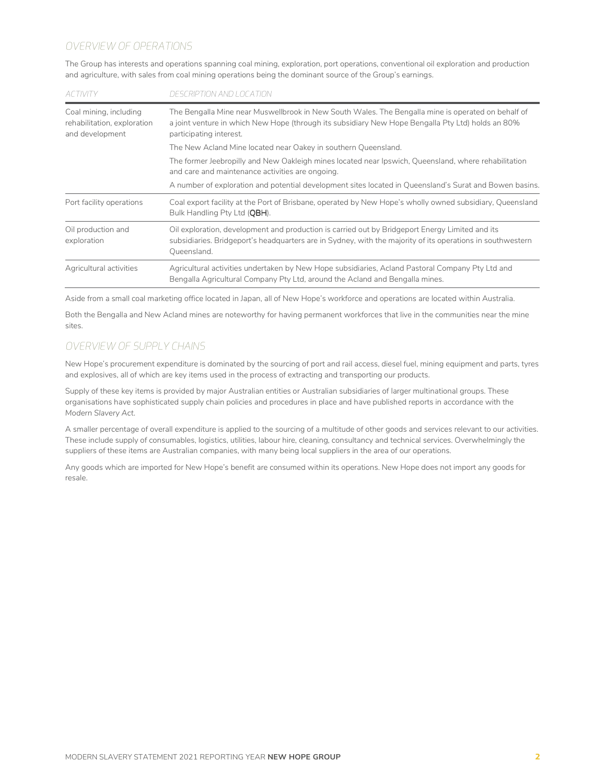#### OVERVIEW OF OPERATIONS

The Group has interests and operations spanning coal mining, exploration, port operations, conventional oil exploration and production and agriculture, with sales from coal mining operations being the dominant source of the Group's earnings.

| <b>ACTIVITY</b>                                                          | DESCRIPTION AND LOCATION                                                                                                                                                                                                           |
|--------------------------------------------------------------------------|------------------------------------------------------------------------------------------------------------------------------------------------------------------------------------------------------------------------------------|
| Coal mining, including<br>rehabilitation, exploration<br>and development | The Bengalla Mine near Muswellbrook in New South Wales. The Bengalla mine is operated on behalf of<br>a joint venture in which New Hope (through its subsidiary New Hope Bengalla Pty Ltd) holds an 80%<br>participating interest. |
|                                                                          | The New Acland Mine located near Oakey in southern Queensland.                                                                                                                                                                     |
|                                                                          | The former Jeebropilly and New Oakleigh mines located near Ipswich, Queensland, where rehabilitation<br>and care and maintenance activities are ongoing.                                                                           |
|                                                                          | A number of exploration and potential development sites located in Queensland's Surat and Bowen basins.                                                                                                                            |
| Port facility operations                                                 | Coal export facility at the Port of Brisbane, operated by New Hope's wholly owned subsidiary, Queensland<br>Bulk Handling Pty Ltd (OBH).                                                                                           |
| Oil production and<br>exploration                                        | Oil exploration, development and production is carried out by Bridgeport Energy Limited and its<br>subsidiaries. Bridgeport's headquarters are in Sydney, with the majority of its operations in southwestern<br>Queensland.       |
| Agricultural activities                                                  | Agricultural activities undertaken by New Hope subsidiaries, Acland Pastoral Company Pty Ltd and<br>Bengalla Agricultural Company Pty Ltd, around the Acland and Bengalla mines.                                                   |

Aside from a small coal marketing office located in Japan, all of New Hope's workforce and operations are located within Australia.

Both the Bengalla and New Acland mines are noteworthy for having permanent workforces that live in the communities near the mine sites.

#### OVERVIEW OF SUPPLY CHAINS

New Hope's procurement expenditure is dominated by the sourcing of port and rail access, diesel fuel, mining equipment and parts, tyres and explosives, all of which are key items used in the process of extracting and transporting our products.

Supply of these key items is provided by major Australian entities or Australian subsidiaries of larger multinational groups. These organisations have sophisticated supply chain policies and procedures in place and have published reports in accordance with the Modern Slavery Act.

A smaller percentage of overall expenditure is applied to the sourcing of a multitude of other goods and services relevant to our activities. These include supply of consumables, logistics, utilities, labour hire, cleaning, consultancy and technical services. Overwhelmingly the suppliers of these items are Australian companies, with many being local suppliers in the area of our operations.

Any goods which are imported for New Hope's benefit are consumed within its operations. New Hope does not import any goods for resale.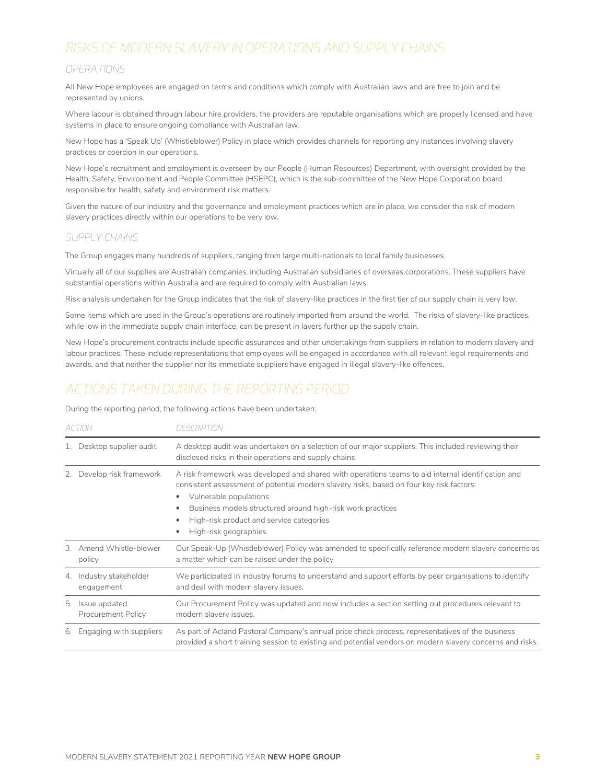# RISKS OF MODERN SLAVERY IN OPERATIONS AND SUPPLY CHAINS

#### OPERATIONS

All New Hope employees are engaged on terms and conditions which comply with Australian laws and are free to join and be represented by unions.

Where labour is obtained through labour hire providers, the providers are reputable organisations which are properly licensed and have systems in place to ensure ongoing compliance with Australian law.

New Hope has a 'Speak Up' (Whistleblower) Policy in place which provides channels for reporting any instances involving slavery practices or coercion in our operations.

New Hope's recruitment and employment is overseen by our People (Human Resources) Department, with oversight provided by the Health, Safety, Environment and People Committee (HSEPC), which is the sub-committee of the New Hope Corporation board responsible for health, safety and environment risk matters.

Given the nature of our industry and the governance and employment practices which are in place, we consider the risk of modern slavery practices directly within our operations to be very low.

#### SUPPLY CHAINS

The Group engages many hundreds of suppliers, ranging from large multi-nationals to local family businesses.

Virtually all of our supplies are Australian companies, including Australian subsidiaries of overseas corporations. These suppliers have substantial operations within Australia and are required to comply with Australian laws.

Risk analysis undertaken for the Group indicates that the risk of slavery-like practices in the first tier of our supply chain is very low.

Some items which are used in the Group's operations are routinely imported from around the world. The risks of slavery-like practices, while low in the immediate supply chain interface, can be present in layers further up the supply chain.

New Hope's procurement contracts include specific assurances and other undertakings from suppliers in relation to modern slavery and labour practices. These include representations that employees will be engaged in accordance with all relevant legal requirements and awards, and that neither the supplier nor its immediate suppliers have engaged in illegal slavery-like offences.

### ACTIONS TAKEN DURING THE REPORTING PERIOD

During the reporting period, the following actions have been undertaken:

| ACTION |                                       | <b>DESCRIPTION</b>                                                                                                                                                                                                                                                                                                                                          |  |
|--------|---------------------------------------|-------------------------------------------------------------------------------------------------------------------------------------------------------------------------------------------------------------------------------------------------------------------------------------------------------------------------------------------------------------|--|
|        | Desktop supplier audit                | A desktop audit was undertaken on a selection of our major suppliers. This included reviewing their<br>disclosed risks in their operations and supply chains.                                                                                                                                                                                               |  |
| 2.     | Develop risk framework                | A risk framework was developed and shared with operations teams to aid internal identification and<br>consistent assessment of potential modern slavery risks, based on four key risk factors:<br>Vulnerable populations<br>Business models structured around high-risk work practices<br>High-risk product and service categories<br>High-risk geographies |  |
|        | 3. Amend Whistle-blower<br>policy     | Our Speak-Up (Whistleblower) Policy was amended to specifically reference modern slavery concerns as<br>a matter which can be raised under the policy                                                                                                                                                                                                       |  |
|        | 4. Industry stakeholder<br>engagement | We participated in industry forums to understand and support efforts by peer organisations to identify<br>and deal with modern slavery issues.                                                                                                                                                                                                              |  |
| 5.     | Issue updated<br>Procurement Policy   | Our Procurement Policy was updated and now includes a section setting out procedures relevant to<br>modern slavery issues.                                                                                                                                                                                                                                  |  |
|        | 6. Engaging with suppliers            | As part of Acland Pastoral Company's annual price check process, representatives of the business<br>provided a short training session to existing and potential vendors on modern slavery concerns and risks.                                                                                                                                               |  |